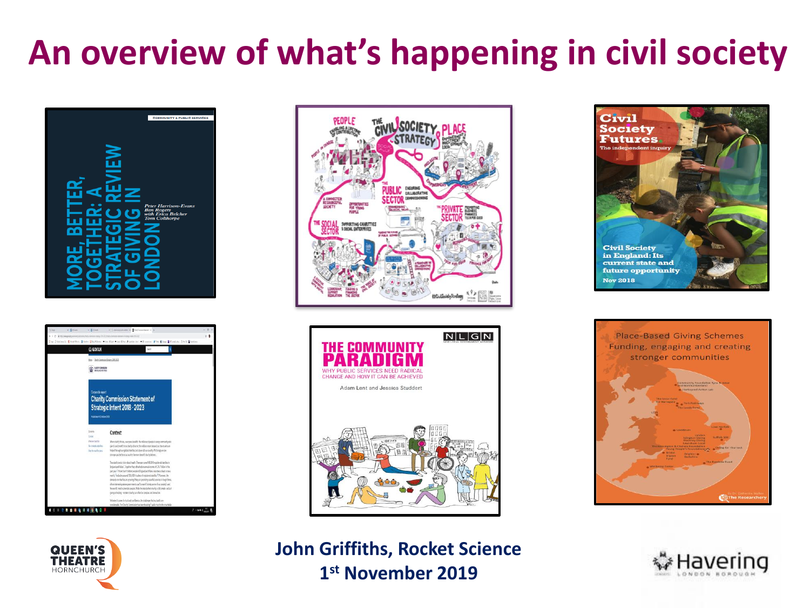### **An overview of what's happening in civil society**











 **John Griffiths, Rocket Science 1st November 2019** 





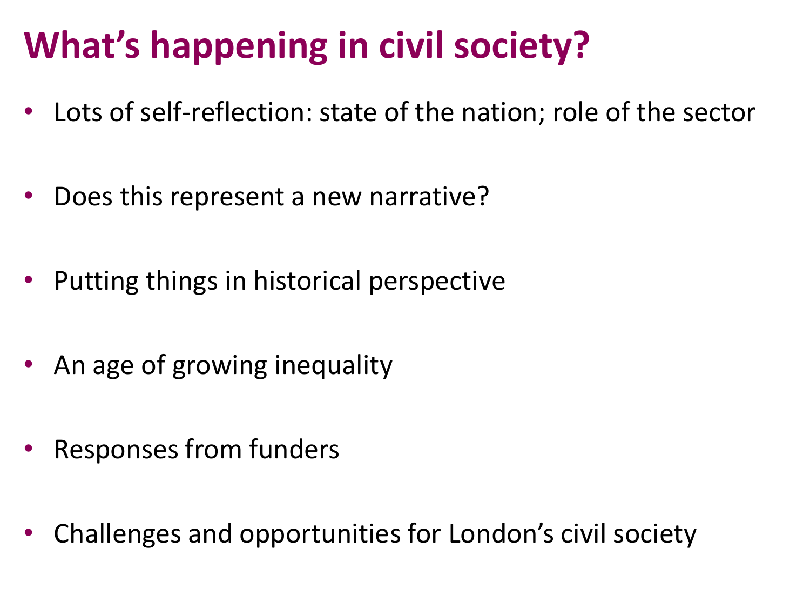# **What's happening in civil society?**

- Lots of self-reflection: state of the nation; role of the sector
- .<br>יי • Does this represent a new narrative?
- Putting things in historical perspective
- An age of growing inequality
- Responses from funders
- Challenges and opportunities for London's civil society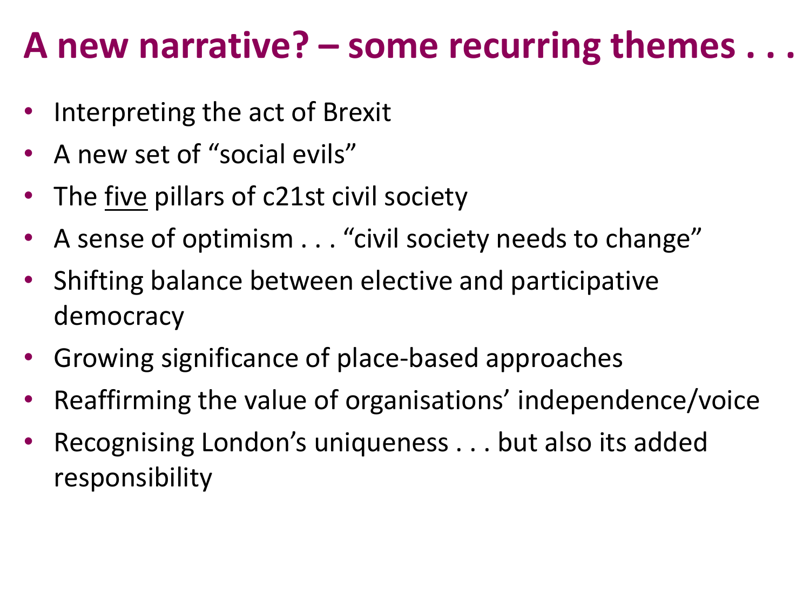### **A new narrative? – some recurring themes . . .**

- Interpreting the act of Brexit
- A new set of "social evils"
- $\ddot{\phantom{0}}$ • The five pillars of c21st civil society
- A sense of optimism . . . "civil society needs to change"
- • Shifting balance between elective and participative democracy
- $\mathbf{r}$ • Growing significance of place-based approaches
- Reaffirming the value of organisations' independence/voice
- • Recognising London's uniqueness . . . but also its added responsibility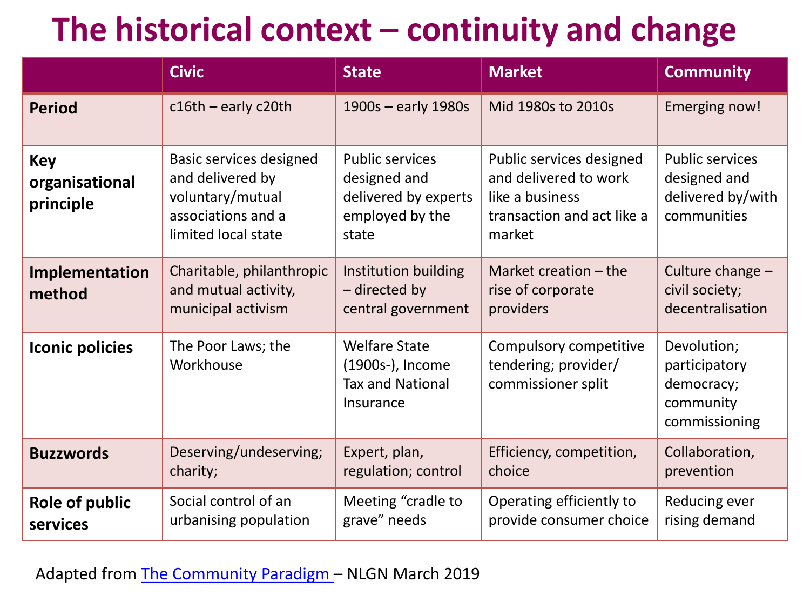### **The historical context – continuity and change**

|                                           | <b>Civic</b>                                                                                                        | <b>State</b>                                                                               | <b>Market</b>                                                                                                | <b>Community</b>                                                           |
|-------------------------------------------|---------------------------------------------------------------------------------------------------------------------|--------------------------------------------------------------------------------------------|--------------------------------------------------------------------------------------------------------------|----------------------------------------------------------------------------|
| <b>Period</b>                             | $c16th$ – early c20th                                                                                               | 1900s - early 1980s                                                                        | Mid 1980s to 2010s                                                                                           | <b>Emerging now!</b>                                                       |
| <b>Key</b><br>organisational<br>principle | <b>Basic services designed</b><br>and delivered by<br>voluntary/mutual<br>associations and a<br>limited local state | <b>Public services</b><br>designed and<br>delivered by experts<br>employed by the<br>state | Public services designed<br>and delivered to work<br>like a business<br>transaction and act like a<br>market | <b>Public services</b><br>designed and<br>delivered by/with<br>communities |
| Implementation<br>method                  | Charitable, philanthropic<br>and mutual activity,<br>municipal activism                                             | Institution building<br>- directed by<br>central government                                | Market creation $-$ the<br>rise of corporate<br>providers                                                    | Culture change -<br>civil society;<br>decentralisation                     |
| <b>Iconic policies</b>                    | The Poor Laws; the<br>Workhouse                                                                                     | <b>Welfare State</b><br>(1900s-), Income<br><b>Tax and National</b><br>Insurance           | Compulsory competitive<br>tendering; provider/<br>commissioner split                                         | Devolution;<br>participatory<br>democracy;<br>community<br>commissioning   |
| <b>Buzzwords</b>                          | Deserving/undeserving;<br>charity;                                                                                  | Expert, plan,<br>regulation; control                                                       | Efficiency, competition,<br>choice                                                                           | Collaboration,<br>prevention                                               |
| Role of public<br>services                | Social control of an<br>urbanising population                                                                       | Meeting "cradle to<br>grave" needs                                                         | Operating efficiently to<br>provide consumer choice                                                          | Reducing ever<br>rising demand                                             |

Adapted from The Community Paradigm – NLGN March 2019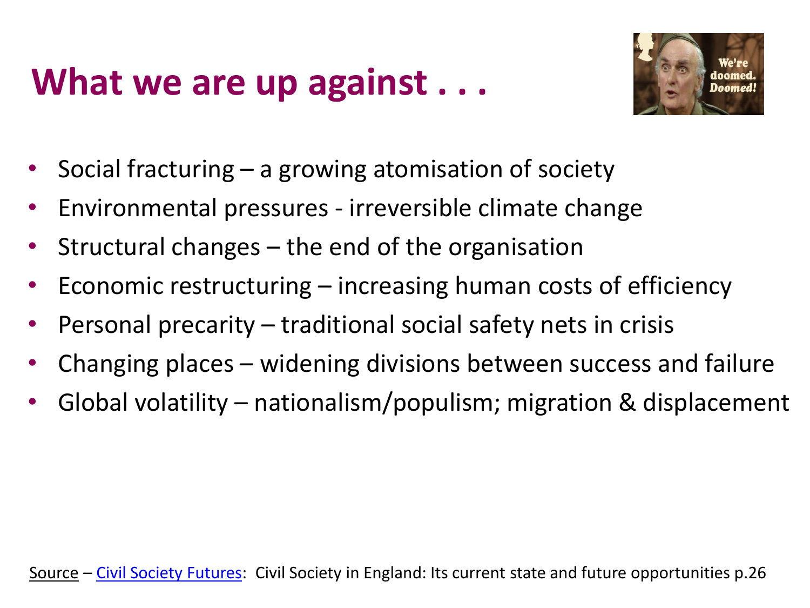# **What we are up against . . .**



- Social fracturing a growing atomisation of society
- Environmental pressures irreversible climate change
- Structural changes the end of the organisation
- Economic restructuring increasing human costs of efficiency
- Personal precarity traditional social safety nets in crisis<br>• Changing places widening divisions between susesses an
- Changing places widening divisions between success and failure
- Global volatility nationalism/populism; migration & displacement

Source – Civil Society Futures: Civil Society in England: Its current state and future opportunities p.26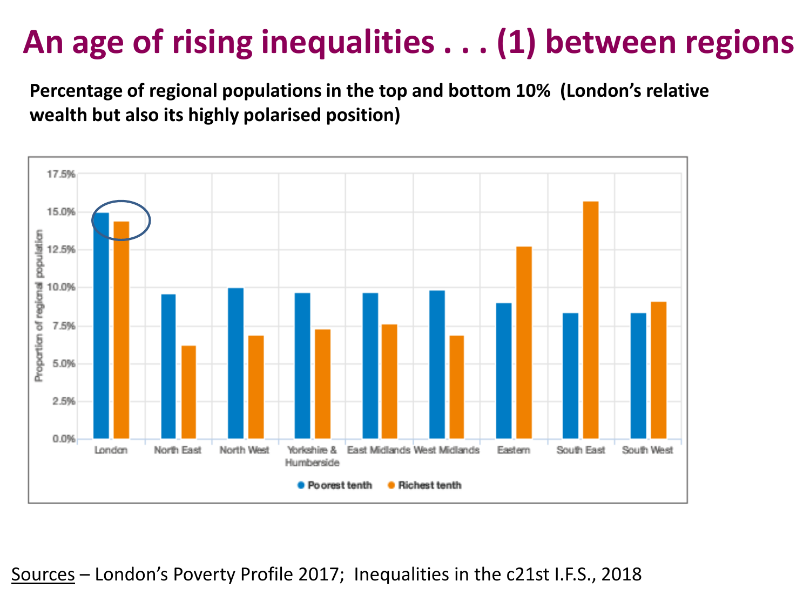#### **S An age of rising inequalities . . . (1) between regions**

"<br>"  **Percentage of regional populations in the top and bottom 10% (London's relative wealth but also its highly polarised position)** 

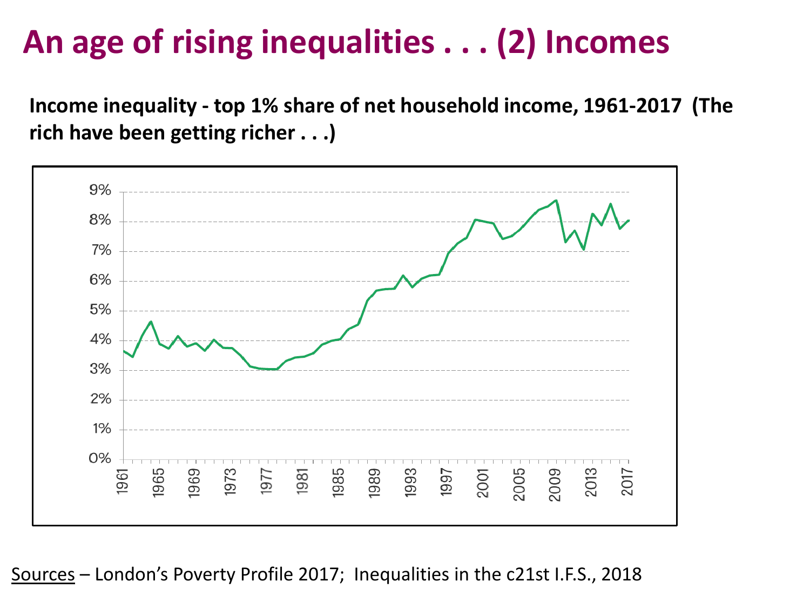#### **S An age of rising inequalities . . . (2) Incomes**

  **Income inequality - top 1% share of net household income, 1961-2017 (The rich have been getting richer . . .)** 

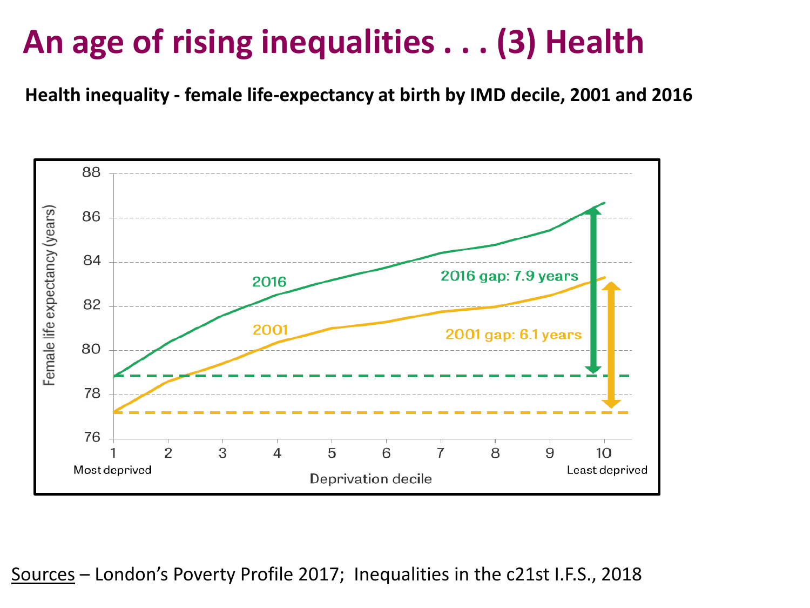#### **S An age of rising inequalities . . . (3) Health**

 **Health inequality - female life-expectancy at birth by IMD decile, 2001 and 2016** 

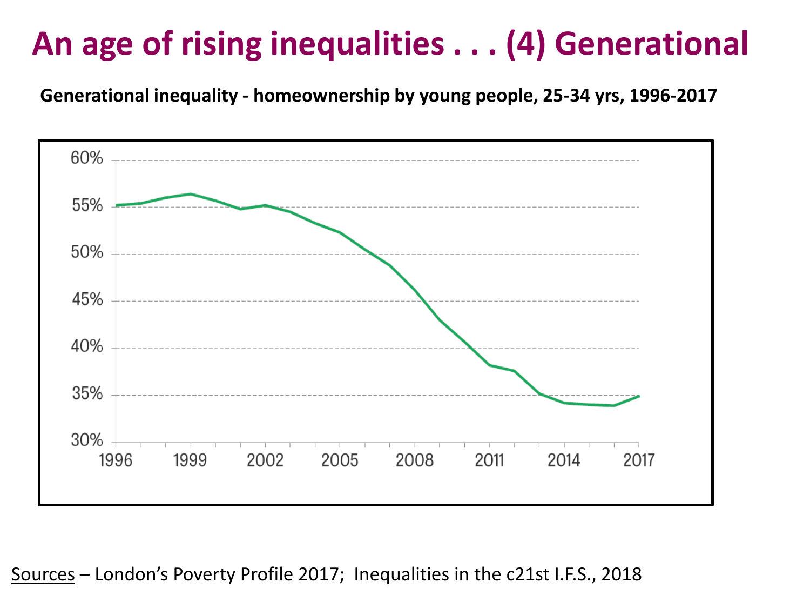#### ľ **An age of rising inequalities . . . (4) Generational**

 **Generational inequality - homeownership by young people, 25-34 yrs, 1996-2017** 

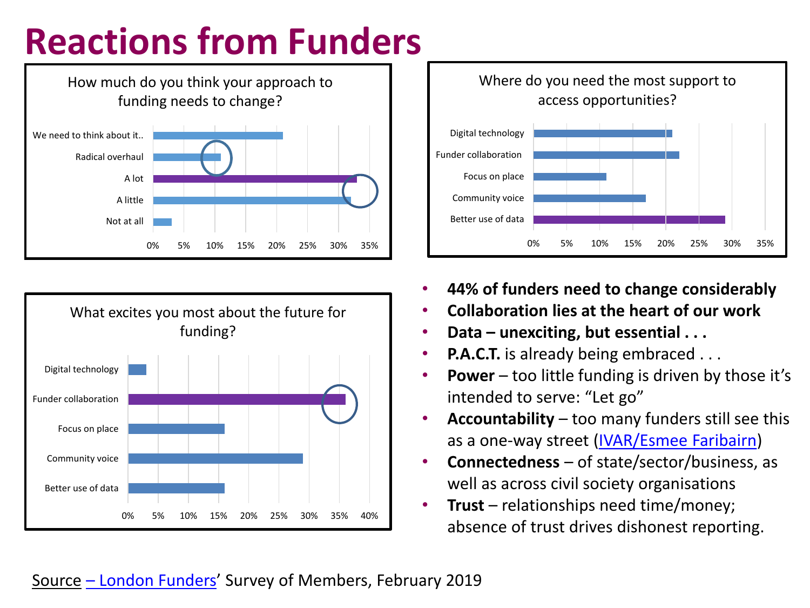# **Reactions from Funders**







- **44% of funders need to change considerably**
- **Collaboration lies at the heart of our work**
- **Data – unexciting, but essential . . .**
- **P.A.C.T.** is already being embraced . . .
- • **Power**  too little funding is driven by those it's intended to serve: "Let go"
- • **Accountability**  too many funders still see this as a one-way street (IVAR/Esmee Faribairn)
- • **Connectedness**  of state/sector/business, as well as across civil society organisations
- • **Trust**  relationships need time/money; absence of trust drives dishonest reporting.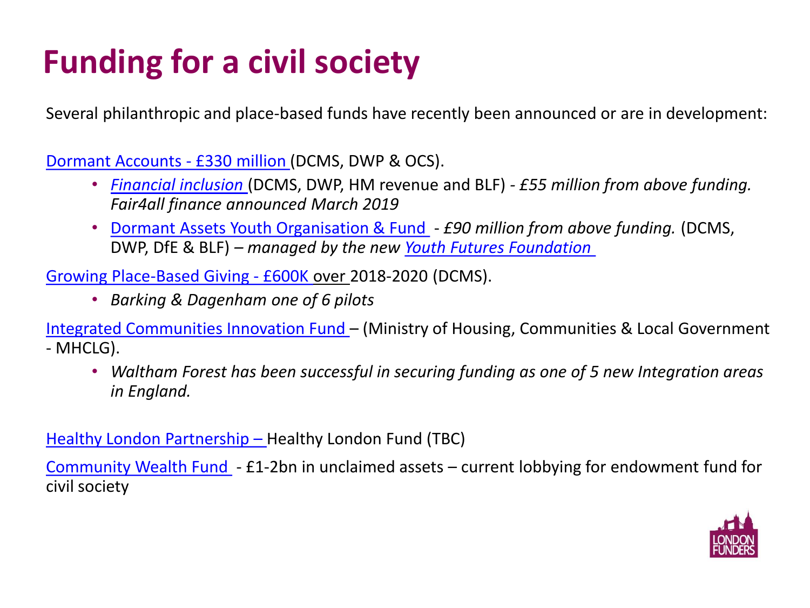## **Funding for a civil society**

Several philanthropic and place-based funds have recently been announced or are in development:

Dormant Accounts - £330 million (DCMS, DWP & OCS).

- *Financial inclusion* (DCMS, DWP, HM revenue and BLF)  *£55 million from above funding. Fair4all finance announced March 2019*
- • Dormant Assets Youth Organisation & Fund *£90 million from above funding.* (DCMS,  DWP, DfE & BLF) *– managed by the new Youth Futures Foundation*

Growing Place-Based Giving - £600K over 2018-2020 (DCMS).

 • *Barking & Dagenham one of 6 pilots* 

 - MHCLG). Integrated Communities Innovation Fund – (Ministry of Housing, Communities & Local Government

 • *Waltham Forest has been successful in securing funding as one of 5 new Integration areas in England.* 

Healthy London Partnership – Healthy London Fund (TBC)

Community Wealth Fund - £1-2bn in unclaimed assets - current lobbying for endowment fund for civil society

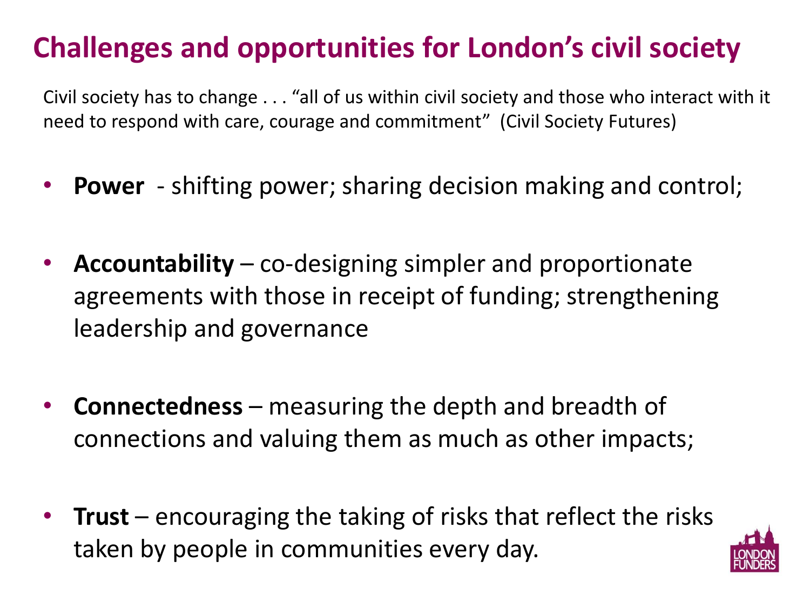### **Challenges and opportunities for London's civil society**

''<br>1r Civil society has to change . . . "all of us within civil society and those who interact with it need to respond with care, courage and commitment" (Civil Society Futures)

- **Power**  shifting power; sharing decision making and control;
- Accountability co-designing simpler and proportionate<br>agreements with those in receipt of funding; strengthening • **Accountability** – co-designing simpler and proportionate leadership and governance
- **Connectedness**  measuring the depth and breadth of connections and valuing them as much as other impacts;
- **@LondonFunders London's Giving -** *transforming and energising local giving* • **Trust** – encouraging the taking of risks that reflect the risks taken by people in communities every day.